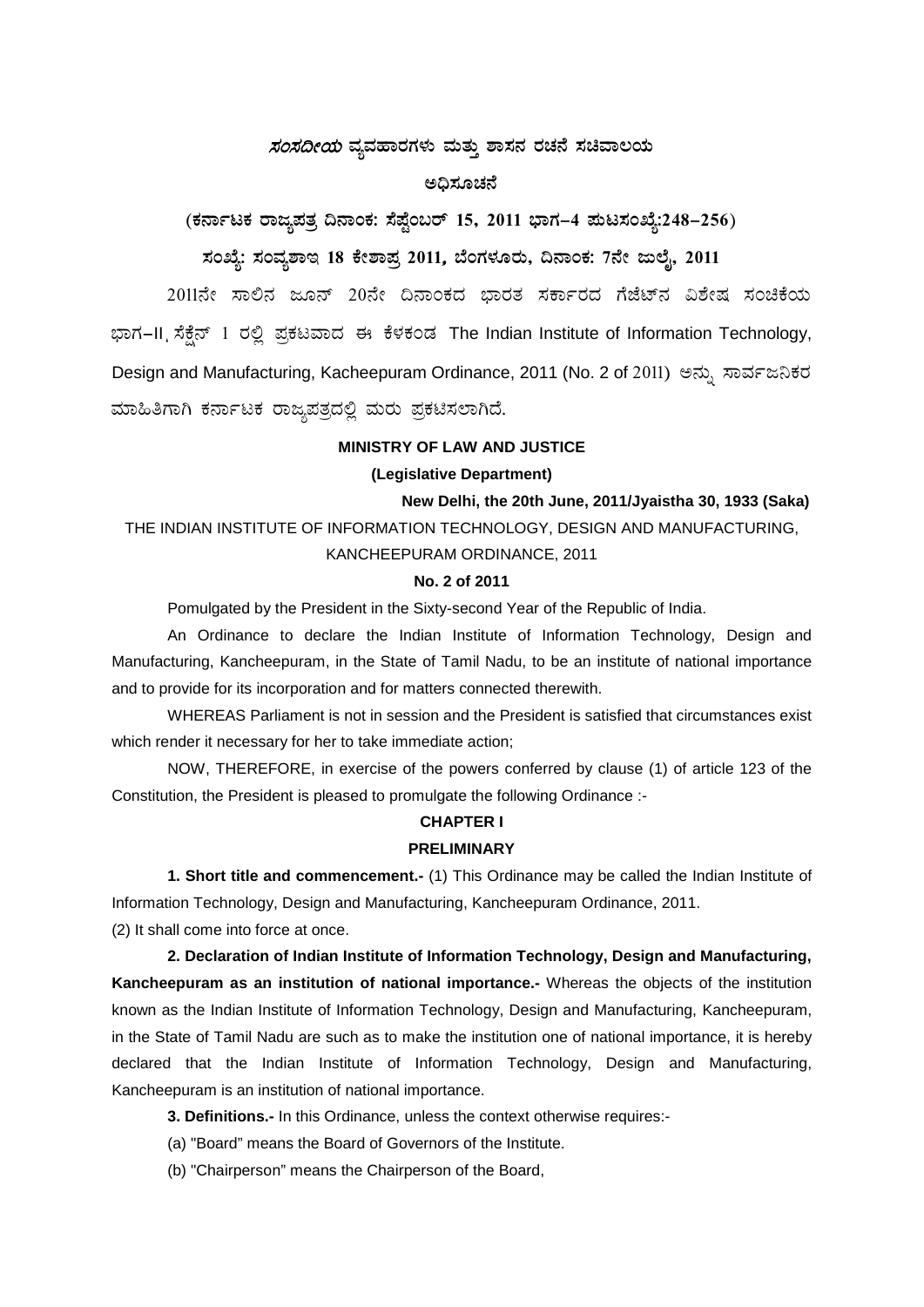# *ಸಂಸದೀಯ* ವ್ಯವಹಾರಗಳು ಮತ್ತು ಶಾಸನ ರಚನೆ ಸಚಿವಾಲಯ

# **C¢ü¸ÀÆZÀ£É**

**(PÀ£ÁðlPÀ gÁdå¥ÀvÀæ ¢£ÁAPÀ: ¸É¥ÉÖA§gï 15, 2011 ¨sÁUÀ-4 ¥ÀÄl¸ÀASÉå:248-256)**

# **¸ÀASÉå: ¸ÀAªÀå±ÁE 18 PÉñÁ¥Àæ 2011**, **¨ÉAUÀ¼ÀÆgÀÄ, ¢£ÁAPÀ: 7£Éà dįÉÊ, 2011**

2011ನೇ ಸಾಲಿನ ಜೂನ್ 20ನೇ ದಿನಾಂಕದ ಭಾರತ ಸರ್ಕಾರದ ಗೆಜೆಟ್ನ ವಿಶೇಷ ಸಂಚಿಕೆಯ ಭಾಗ-II ಸೆಕ್ಸೆನ್ 1 ರಲ್ಲಿ ಪ್ರಕಟವಾದ ಈ ಕೆಳಕಂಡ The Indian Institute of Information Technology, Design and Manufacturing, Kacheepuram Ordinance, 2011 (No. 2 of 2011) ಅನ್ನು ಸಾರ್ವಜನಿಕರ ಮಾಹಿತಿಗಾಗಿ ಕರ್ನಾಟಕ ರಾಜ್ಯಪತ್ರದಲ್ಲಿ ಮರು ಪ್ರಕಟಿಸಲಾಗಿದೆ.

# **MINISTRY OF LAW AND JUSTICE**

### **(Legislative Department)**

 **New Delhi, the 20th June, 2011/Jyaistha 30, 1933 (Saka)** THE INDIAN INSTITUTE OF INFORMATION TECHNOLOGY, DESIGN AND MANUFACTURING, KANCHEEPURAM ORDINANCE, 2011

#### **No. 2 of 2011**

Pomulgated by the President in the Sixty-second Year of the Republic of India.

An Ordinance to declare the Indian Institute of Information Technology, Design and Manufacturing, Kancheepuram, in the State of Tamil Nadu, to be an institute of national importance and to provide for its incorporation and for matters connected therewith.

WHEREAS Parliament is not in session and the President is satisfied that circumstances exist which render it necessary for her to take immediate action;

NOW, THEREFORE, in exercise of the powers conferred by clause (1) of article 123 of the Constitution, the President is pleased to promulgate the following Ordinance :-

#### **CHAPTER I**

#### **PRELIMINARY**

**1. Short title and commencement.-** (1) This Ordinance may be called the Indian Institute of Information Technology, Design and Manufacturing, Kancheepuram Ordinance, 2011. (2) It shall come into force at once.

**2. Declaration of Indian Institute of Information Technology, Design and Manufacturing, Kancheepuram as an institution of national importance.-** Whereas the objects of the institution known as the Indian Institute of Information Technology, Design and Manufacturing, Kancheepuram, in the State of Tamil Nadu are such as to make the institution one of national importance, it is hereby declared that the Indian Institute of Information Technology, Design and Manufacturing, Kancheepuram is an institution of national importance.

**3. Definitions.-** In this Ordinance, unless the context otherwise requires:-

- (a) "Board" means the Board of Governors of the Institute.
- (b) "Chairperson" means the Chairperson of the Board,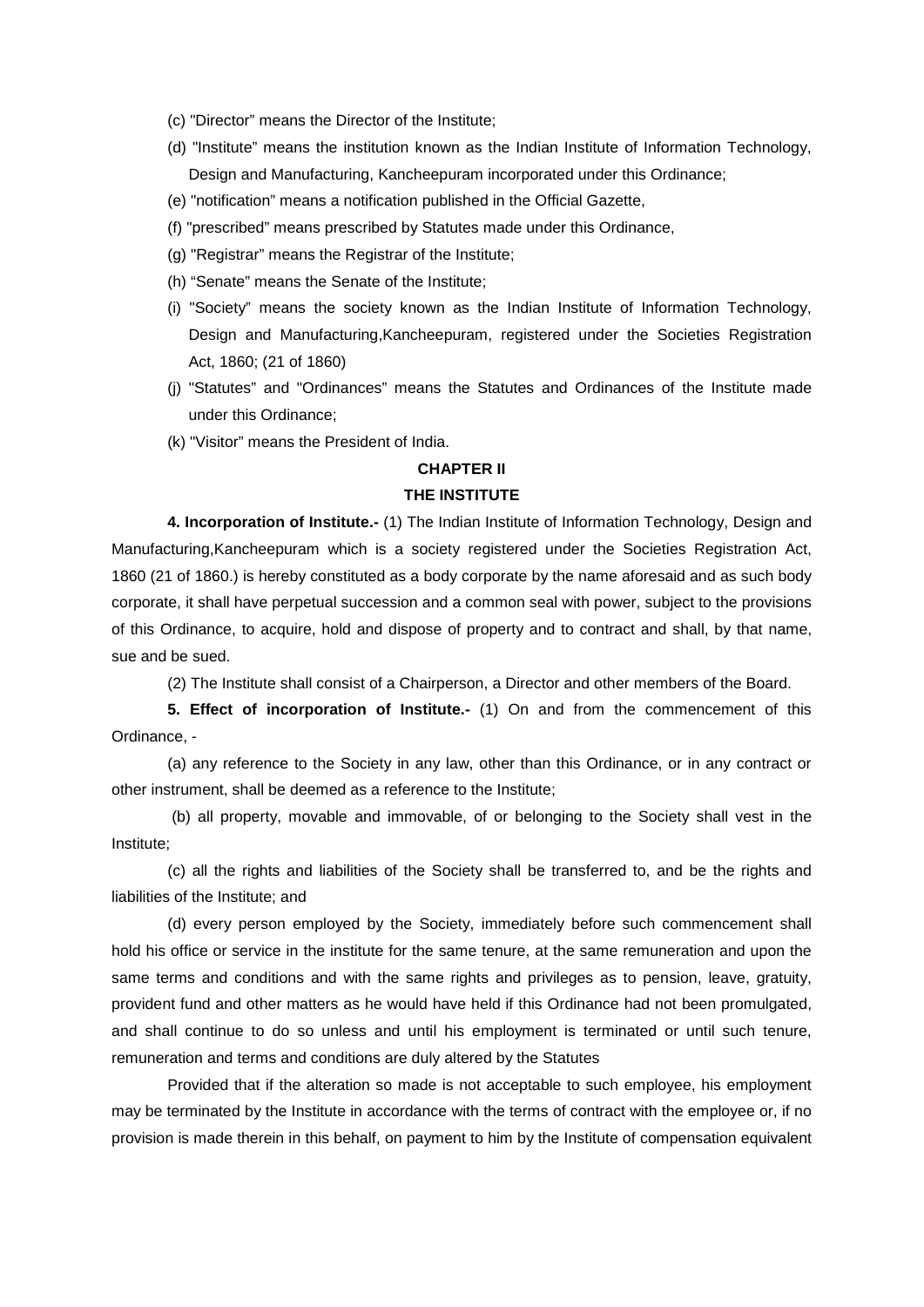- (c) "Director" means the Director of the Institute;
- (d) "Institute" means the institution known as the Indian Institute of Information Technology, Design and Manufacturing, Kancheepuram incorporated under this Ordinance;
- (e) "notification" means a notification published in the Official Gazette,
- (f) "prescribed" means prescribed by Statutes made under this Ordinance,
- (g) "Registrar" means the Registrar of the Institute;
- (h) "Senate" means the Senate of the Institute;
- (i) "Society" means the society known as the Indian Institute of Information Technology, Design and Manufacturing,Kancheepuram, registered under the Societies Registration Act, 1860; (21 of 1860)
- (j) "Statutes" and "Ordinances" means the Statutes and Ordinances of the Institute made under this Ordinance;
- (k) "Visitor" means the President of India.

# **CHAPTER II**

# **THE INSTITUTE**

**4. Incorporation of Institute.-** (1) The Indian Institute of Information Technology, Design and Manufacturing,Kancheepuram which is a society registered under the Societies Registration Act, 1860 (21 of 1860.) is hereby constituted as a body corporate by the name aforesaid and as such body corporate, it shall have perpetual succession and a common seal with power, subject to the provisions of this Ordinance, to acquire, hold and dispose of property and to contract and shall, by that name, sue and be sued.

(2) The Institute shall consist of a Chairperson, a Director and other members of the Board.

**5. Effect of incorporation of Institute.-** (1) On and from the commencement of this Ordinance, -

(a) any reference to the Society in any law, other than this Ordinance, or in any contract or other instrument, shall be deemed as a reference to the Institute;

(b) all property, movable and immovable, of or belonging to the Society shall vest in the Institute;

(c) all the rights and liabilities of the Society shall be transferred to, and be the rights and liabilities of the Institute; and

(d) every person employed by the Society, immediately before such commencement shall hold his office or service in the institute for the same tenure, at the same remuneration and upon the same terms and conditions and with the same rights and privileges as to pension, leave, gratuity, provident fund and other matters as he would have held if this Ordinance had not been promulgated, and shall continue to do so unless and until his employment is terminated or until such tenure, remuneration and terms and conditions are duly altered by the Statutes

Provided that if the alteration so made is not acceptable to such employee, his employment may be terminated by the Institute in accordance with the terms of contract with the employee or, if no provision is made therein in this behalf, on payment to him by the Institute of compensation equivalent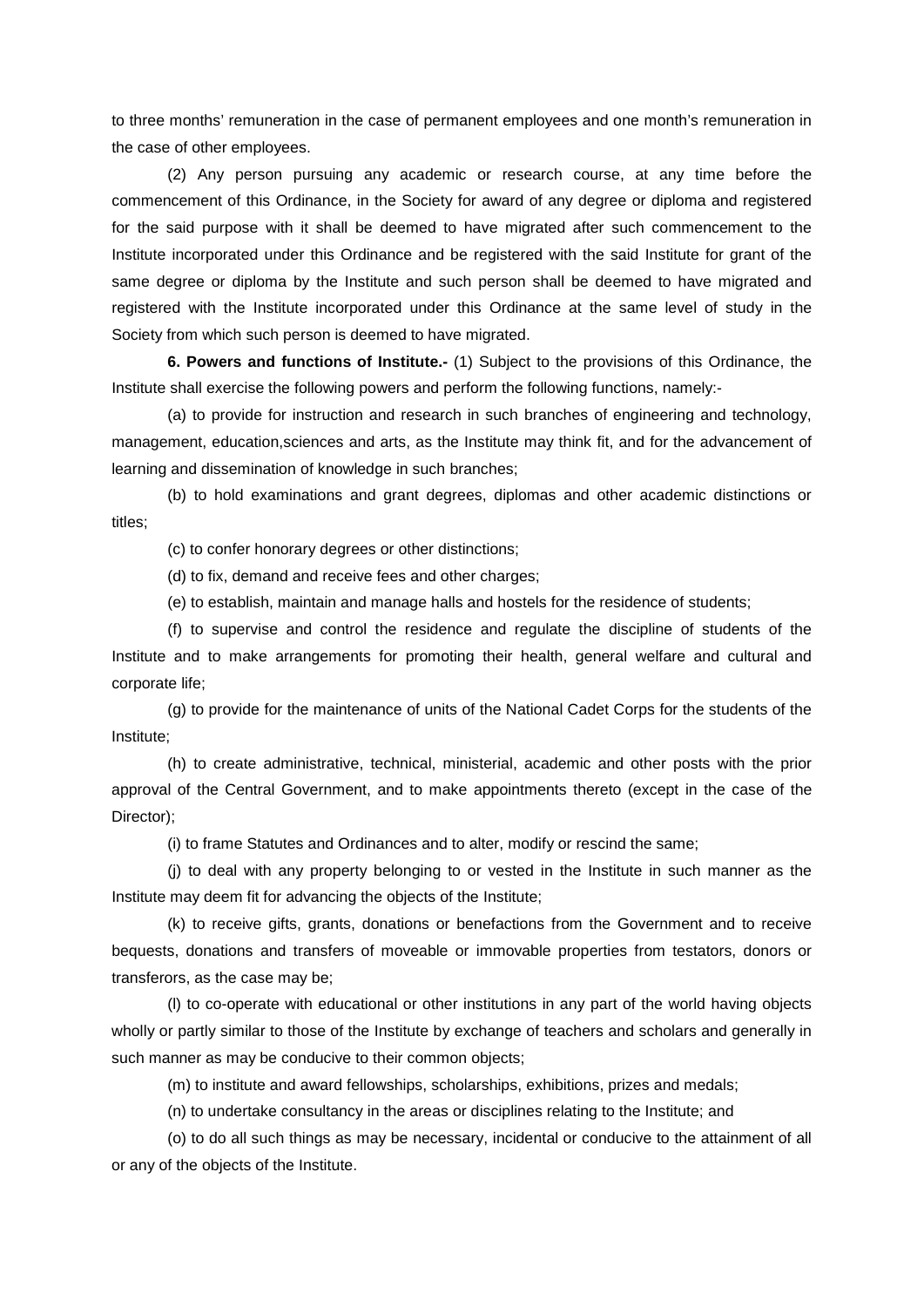to three months' remuneration in the case of permanent employees and one month's remuneration in the case of other employees.

(2) Any person pursuing any academic or research course, at any time before the commencement of this Ordinance, in the Society for award of any degree or diploma and registered for the said purpose with it shall be deemed to have migrated after such commencement to the Institute incorporated under this Ordinance and be registered with the said Institute for grant of the same degree or diploma by the Institute and such person shall be deemed to have migrated and registered with the Institute incorporated under this Ordinance at the same level of study in the Society from which such person is deemed to have migrated.

**6. Powers and functions of Institute.-** (1) Subject to the provisions of this Ordinance, the Institute shall exercise the following powers and perform the following functions, namely:-

(a) to provide for instruction and research in such branches of engineering and technology, management, education,sciences and arts, as the Institute may think fit, and for the advancement of learning and dissemination of knowledge in such branches;

(b) to hold examinations and grant degrees, diplomas and other academic distinctions or titles;

(c) to confer honorary degrees or other distinctions;

(d) to fix, demand and receive fees and other charges;

(e) to establish, maintain and manage halls and hostels for the residence of students;

(f) to supervise and control the residence and regulate the discipline of students of the Institute and to make arrangements for promoting their health, general welfare and cultural and corporate life;

(g) to provide for the maintenance of units of the National Cadet Corps for the students of the Institute;

(h) to create administrative, technical, ministerial, academic and other posts with the prior approval of the Central Government, and to make appointments thereto (except in the case of the Director);

(i) to frame Statutes and Ordinances and to alter, modify or rescind the same;

(j) to deal with any property belonging to or vested in the Institute in such manner as the Institute may deem fit for advancing the objects of the Institute;

(k) to receive gifts, grants, donations or benefactions from the Government and to receive bequests, donations and transfers of moveable or immovable properties from testators, donors or transferors, as the case may be;

(l) to co-operate with educational or other institutions in any part of the world having objects wholly or partly similar to those of the Institute by exchange of teachers and scholars and generally in such manner as may be conducive to their common objects;

(m) to institute and award fellowships, scholarships, exhibitions, prizes and medals;

(n) to undertake consultancy in the areas or disciplines relating to the Institute; and

(o) to do all such things as may be necessary, incidental or conducive to the attainment of all or any of the objects of the Institute.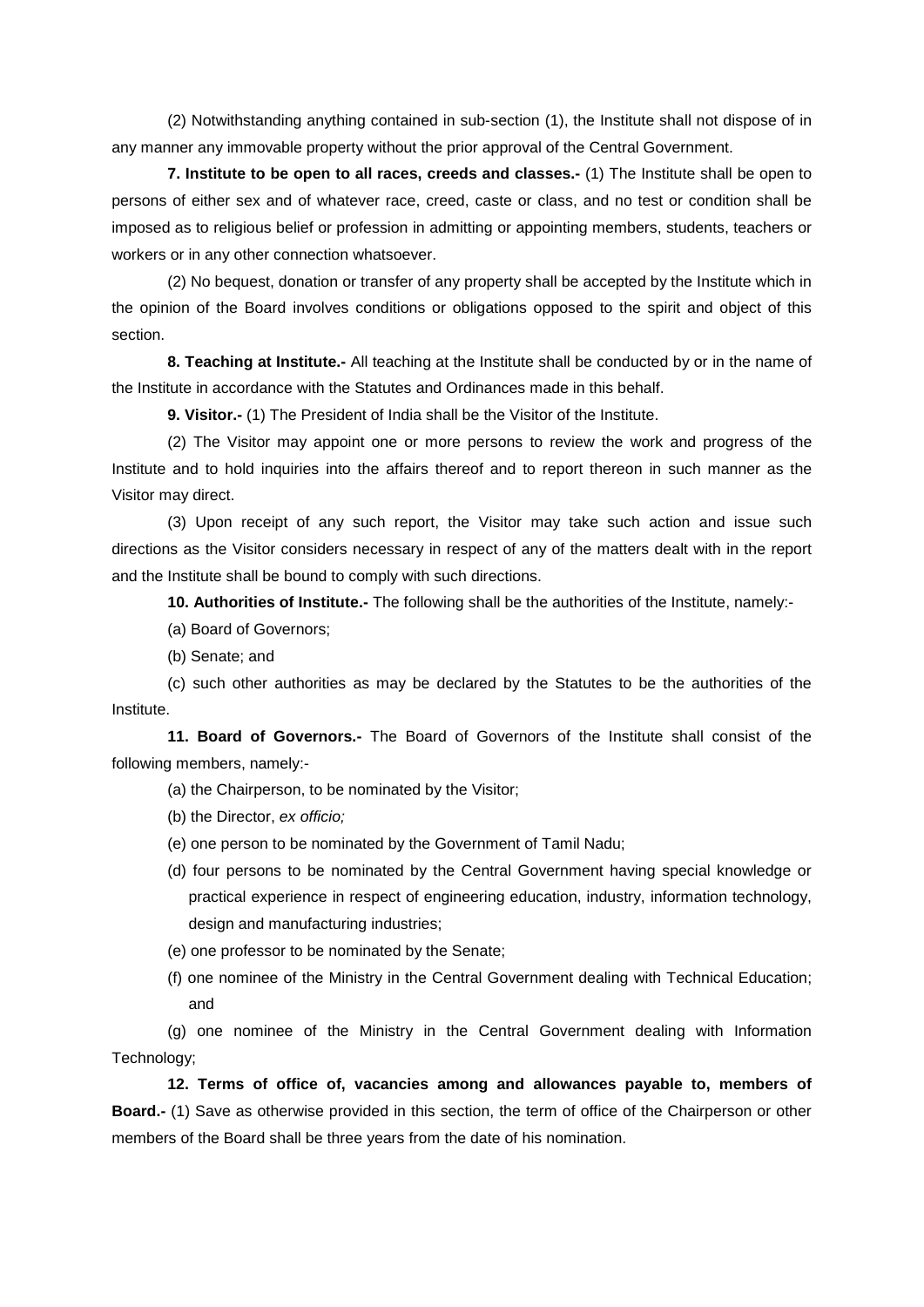(2) Notwithstanding anything contained in sub-section (1), the Institute shall not dispose of in any manner any immovable property without the prior approval of the Central Government.

**7. Institute to be open to all races, creeds and classes.-** (1) The Institute shall be open to persons of either sex and of whatever race, creed, caste or class, and no test or condition shall be imposed as to religious belief or profession in admitting or appointing members, students, teachers or workers or in any other connection whatsoever.

(2) No bequest, donation or transfer of any property shall be accepted by the Institute which in the opinion of the Board involves conditions or obligations opposed to the spirit and object of this section.

**8. Teaching at Institute.-** All teaching at the Institute shall be conducted by or in the name of the Institute in accordance with the Statutes and Ordinances made in this behalf.

**9. Visitor.-** (1) The President of India shall be the Visitor of the Institute.

(2) The Visitor may appoint one or more persons to review the work and progress of the Institute and to hold inquiries into the affairs thereof and to report thereon in such manner as the Visitor may direct.

(3) Upon receipt of any such report, the Visitor may take such action and issue such directions as the Visitor considers necessary in respect of any of the matters dealt with in the report and the Institute shall be bound to comply with such directions.

**10. Authorities of Institute.-** The following shall be the authorities of the Institute, namely:-

- (a) Board of Governors;
- (b) Senate; and

(c) such other authorities as may be declared by the Statutes to be the authorities of the Institute.

**11. Board of Governors.-** The Board of Governors of the Institute shall consist of the following members, namely:-

- (a) the Chairperson, to be nominated by the Visitor;
- (b) the Director, *ex officio;*
- (e) one person to be nominated by the Government of Tamil Nadu;
- (d) four persons to be nominated by the Central Government having special knowledge or practical experience in respect of engineering education, industry, information technology, design and manufacturing industries;
- (e) one professor to be nominated by the Senate;
- (f) one nominee of the Ministry in the Central Government dealing with Technical Education; and

(g) one nominee of the Ministry in the Central Government dealing with Information Technology;

**12. Terms of office of, vacancies among and allowances payable to, members of Board.-** (1) Save as otherwise provided in this section, the term of office of the Chairperson or other members of the Board shall be three years from the date of his nomination.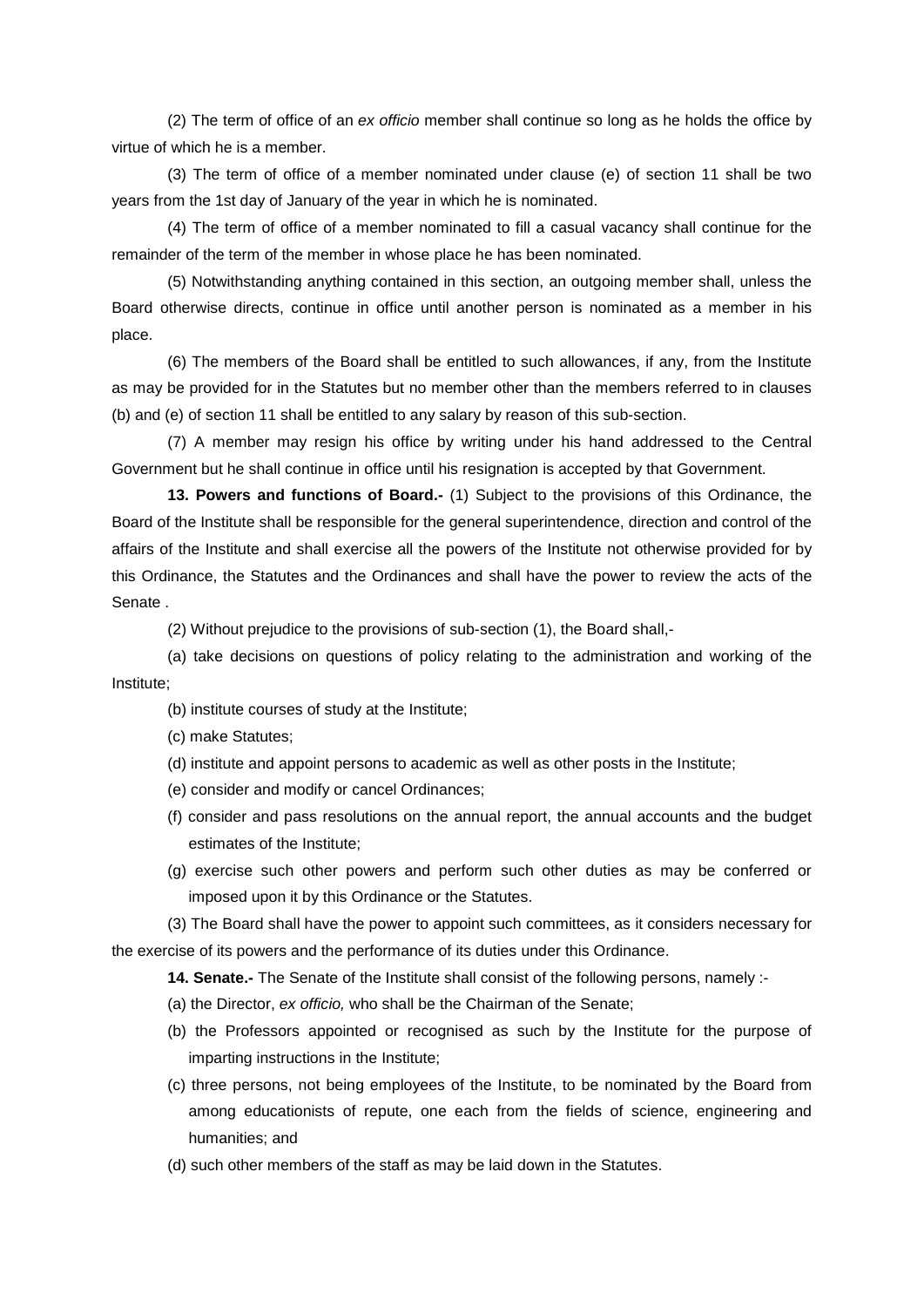(2) The term of office of an *ex officio* member shall continue so long as he holds the office by virtue of which he is a member.

(3) The term of office of a member nominated under clause (e) of section 11 shall be two years from the 1st day of January of the year in which he is nominated.

(4) The term of office of a member nominated to fill a casual vacancy shall continue for the remainder of the term of the member in whose place he has been nominated.

(5) Notwithstanding anything contained in this section, an outgoing member shall, unless the Board otherwise directs, continue in office until another person is nominated as a member in his place.

(6) The members of the Board shall be entitled to such allowances, if any, from the Institute as may be provided for in the Statutes but no member other than the members referred to in clauses (b) and (e) of section 11 shall be entitled to any salary by reason of this sub-section.

(7) A member may resign his office by writing under his hand addressed to the Central Government but he shall continue in office until his resignation is accepted by that Government.

**13. Powers and functions of Board.-** (1) Subject to the provisions of this Ordinance, the Board of the Institute shall be responsible for the general superintendence, direction and control of the affairs of the Institute and shall exercise all the powers of the Institute not otherwise provided for by this Ordinance, the Statutes and the Ordinances and shall have the power to review the acts of the Senate .

(2) Without prejudice to the provisions of sub-section (1), the Board shall,-

(a) take decisions on questions of policy relating to the administration and working of the Institute;

- (b) institute courses of study at the Institute;
- (c) make Statutes;
- (d) institute and appoint persons to academic as well as other posts in the Institute;
- (e) consider and modify or cancel Ordinances;
- (f) consider and pass resolutions on the annual report, the annual accounts and the budget estimates of the Institute;
- (g) exercise such other powers and perform such other duties as may be conferred or imposed upon it by this Ordinance or the Statutes.

(3) The Board shall have the power to appoint such committees, as it considers necessary for the exercise of its powers and the performance of its duties under this Ordinance.

**14. Senate.-** The Senate of the Institute shall consist of the following persons, namely :-

- (a) the Director, *ex officio,* who shall be the Chairman of the Senate;
- (b) the Professors appointed or recognised as such by the Institute for the purpose of imparting instructions in the Institute;
- (c) three persons, not being employees of the Institute, to be nominated by the Board from among educationists of repute, one each from the fields of science, engineering and humanities; and
- (d) such other members of the staff as may be laid down in the Statutes.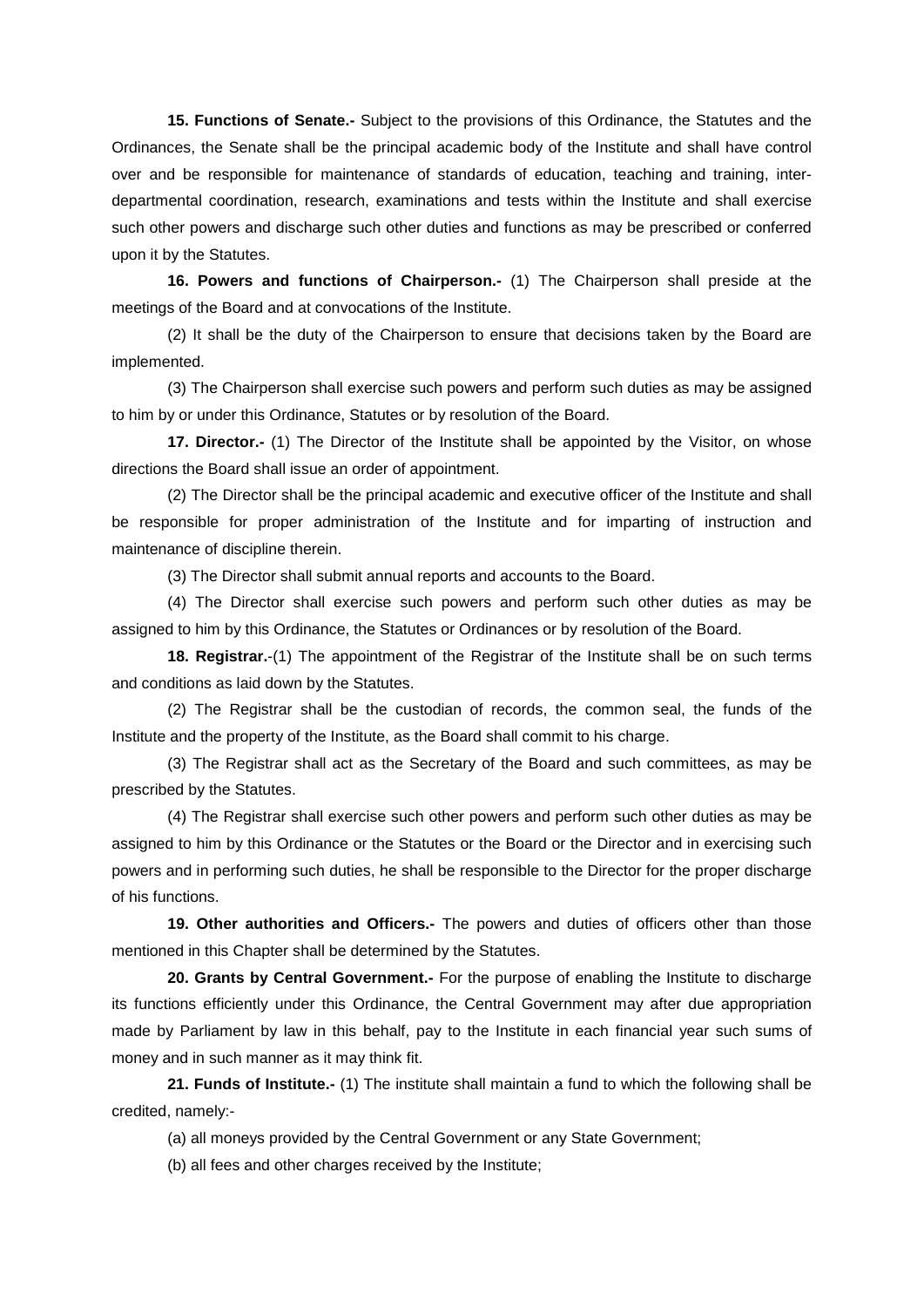**15. Functions of Senate.-** Subject to the provisions of this Ordinance, the Statutes and the Ordinances, the Senate shall be the principal academic body of the Institute and shall have control over and be responsible for maintenance of standards of education, teaching and training, interdepartmental coordination, research, examinations and tests within the Institute and shall exercise such other powers and discharge such other duties and functions as may be prescribed or conferred upon it by the Statutes.

**16. Powers and functions of Chairperson.-** (1) The Chairperson shall preside at the meetings of the Board and at convocations of the Institute.

(2) It shall be the duty of the Chairperson to ensure that decisions taken by the Board are implemented.

(3) The Chairperson shall exercise such powers and perform such duties as may be assigned to him by or under this Ordinance, Statutes or by resolution of the Board.

**17. Director.-** (1) The Director of the Institute shall be appointed by the Visitor, on whose directions the Board shall issue an order of appointment.

(2) The Director shall be the principal academic and executive officer of the Institute and shall be responsible for proper administration of the Institute and for imparting of instruction and maintenance of discipline therein.

(3) The Director shall submit annual reports and accounts to the Board.

(4) The Director shall exercise such powers and perform such other duties as may be assigned to him by this Ordinance, the Statutes or Ordinances or by resolution of the Board.

**18. Registrar.**-(1) The appointment of the Registrar of the Institute shall be on such terms and conditions as laid down by the Statutes.

(2) The Registrar shall be the custodian of records, the common seal, the funds of the Institute and the property of the Institute, as the Board shall commit to his charge.

(3) The Registrar shall act as the Secretary of the Board and such committees, as may be prescribed by the Statutes.

(4) The Registrar shall exercise such other powers and perform such other duties as may be assigned to him by this Ordinance or the Statutes or the Board or the Director and in exercising such powers and in performing such duties, he shall be responsible to the Director for the proper discharge of his functions.

**19. Other authorities and Officers.-** The powers and duties of officers other than those mentioned in this Chapter shall be determined by the Statutes.

**20. Grants by Central Government.-** For the purpose of enabling the Institute to discharge its functions efficiently under this Ordinance, the Central Government may after due appropriation made by Parliament by law in this behalf, pay to the Institute in each financial year such sums of money and in such manner as it may think fit.

**21. Funds of Institute.-** (1) The institute shall maintain a fund to which the following shall be credited, namely:-

(a) all moneys provided by the Central Government or any State Government;

(b) all fees and other charges received by the Institute;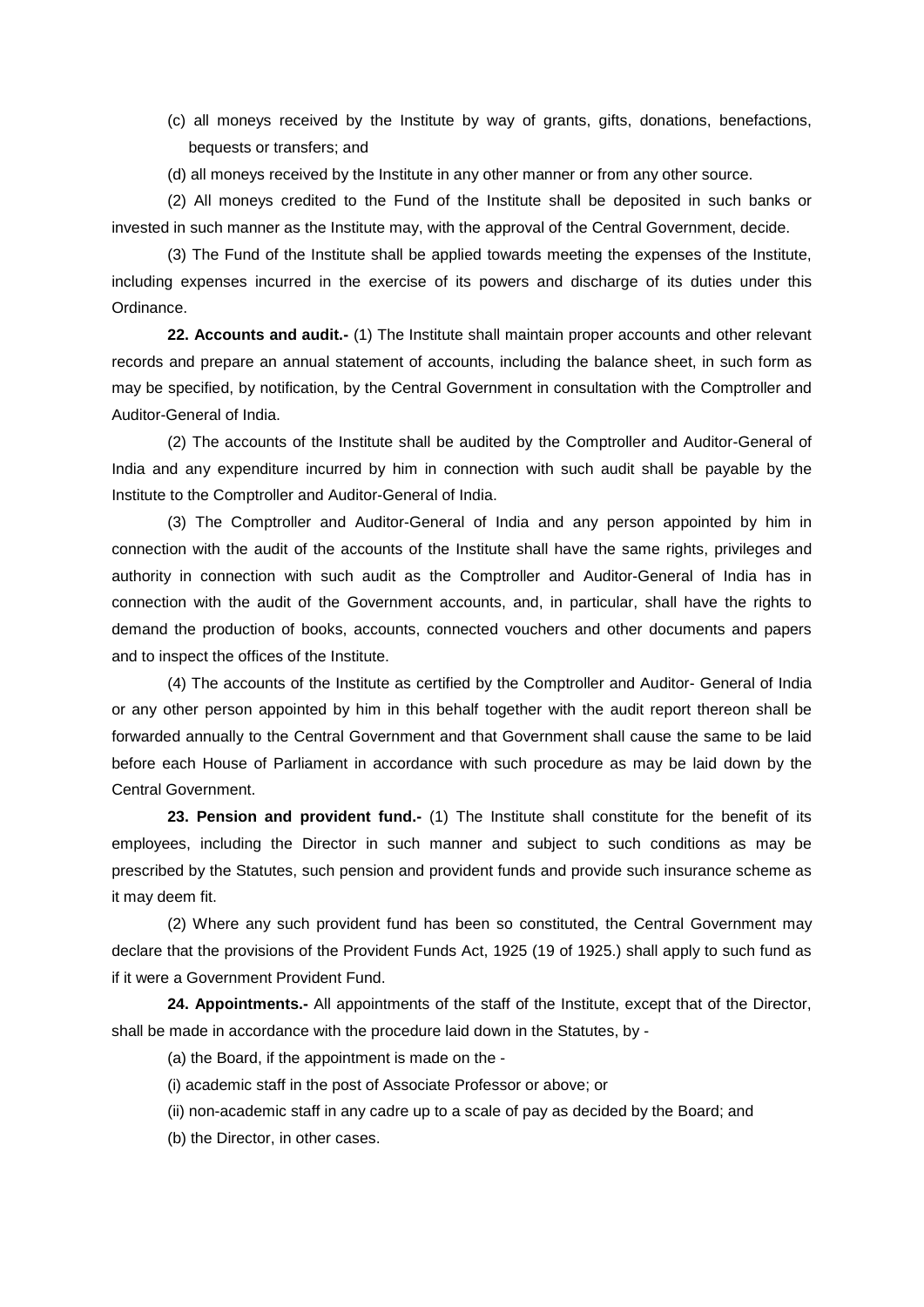- (c) all moneys received by the Institute by way of grants, gifts, donations, benefactions, bequests or transfers; and
- (d) all moneys received by the Institute in any other manner or from any other source.

(2) All moneys credited to the Fund of the Institute shall be deposited in such banks or invested in such manner as the Institute may, with the approval of the Central Government, decide.

(3) The Fund of the Institute shall be applied towards meeting the expenses of the Institute, including expenses incurred in the exercise of its powers and discharge of its duties under this Ordinance.

**22. Accounts and audit.-** (1) The Institute shall maintain proper accounts and other relevant records and prepare an annual statement of accounts, including the balance sheet, in such form as may be specified, by notification, by the Central Government in consultation with the Comptroller and Auditor-General of India.

(2) The accounts of the Institute shall be audited by the Comptroller and Auditor-General of India and any expenditure incurred by him in connection with such audit shall be payable by the Institute to the Comptroller and Auditor-General of India.

(3) The Comptroller and Auditor-General of India and any person appointed by him in connection with the audit of the accounts of the Institute shall have the same rights, privileges and authority in connection with such audit as the Comptroller and Auditor-General of India has in connection with the audit of the Government accounts, and, in particular, shall have the rights to demand the production of books, accounts, connected vouchers and other documents and papers and to inspect the offices of the Institute.

(4) The accounts of the Institute as certified by the Comptroller and Auditor- General of India or any other person appointed by him in this behalf together with the audit report thereon shall be forwarded annually to the Central Government and that Government shall cause the same to be laid before each House of Parliament in accordance with such procedure as may be laid down by the Central Government.

**23. Pension and provident fund.-** (1) The Institute shall constitute for the benefit of its employees, including the Director in such manner and subject to such conditions as may be prescribed by the Statutes, such pension and provident funds and provide such insurance scheme as it may deem fit.

(2) Where any such provident fund has been so constituted, the Central Government may declare that the provisions of the Provident Funds Act, 1925 (19 of 1925.) shall apply to such fund as if it were a Government Provident Fund.

**24. Appointments.-** All appointments of the staff of the Institute, except that of the Director, shall be made in accordance with the procedure laid down in the Statutes, by -

(a) the Board, if the appointment is made on the -

- (i) academic staff in the post of Associate Professor or above; or
- (ii) non-academic staff in any cadre up to a scale of pay as decided by the Board; and

(b) the Director, in other cases.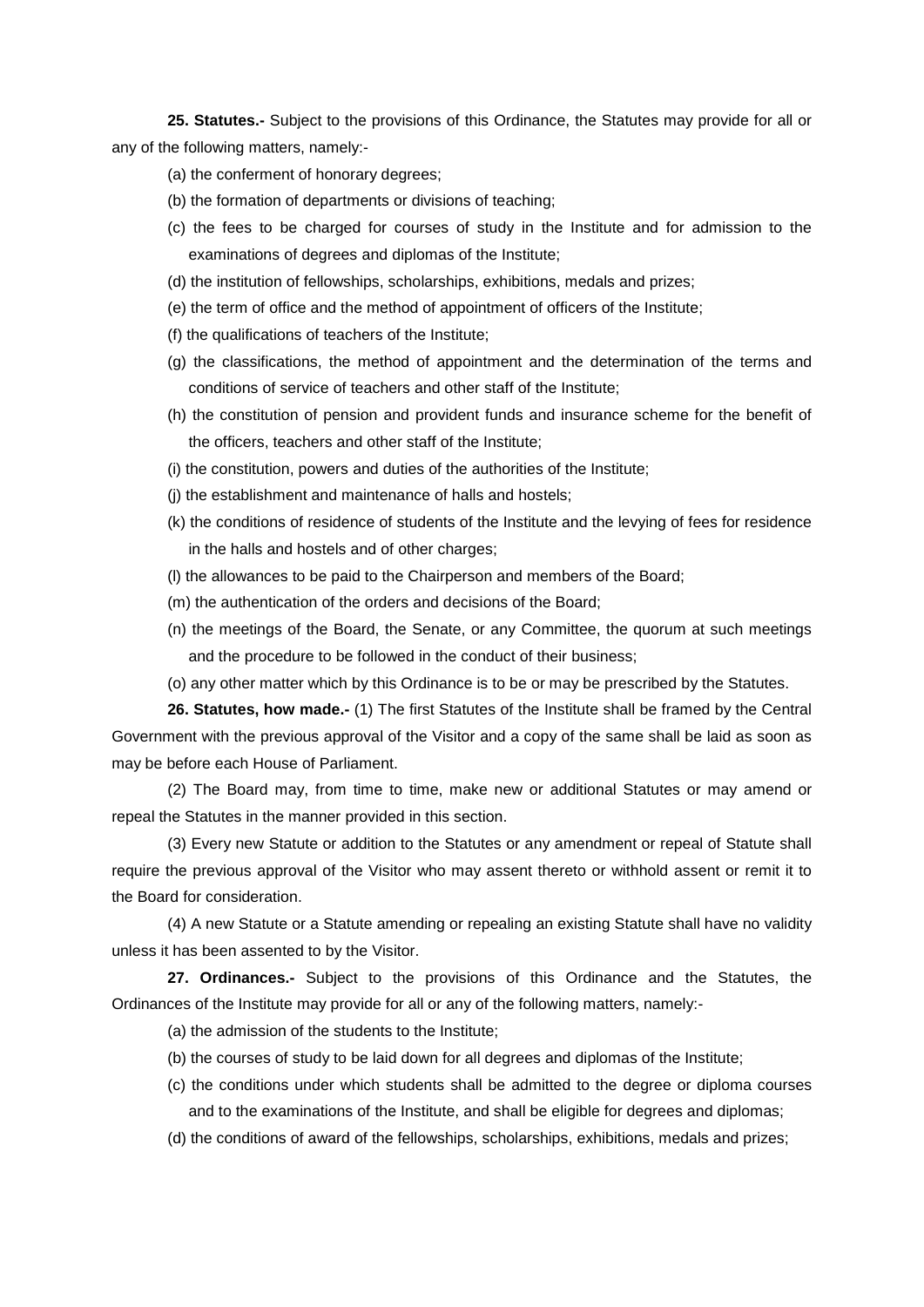**25. Statutes.-** Subject to the provisions of this Ordinance, the Statutes may provide for all or any of the following matters, namely:-

- (a) the conferment of honorary degrees;
- (b) the formation of departments or divisions of teaching;
- (c) the fees to be charged for courses of study in the Institute and for admission to the examinations of degrees and diplomas of the Institute;
- (d) the institution of fellowships, scholarships, exhibitions, medals and prizes;
- (e) the term of office and the method of appointment of officers of the Institute;
- (f) the qualifications of teachers of the Institute;
- (g) the classifications, the method of appointment and the determination of the terms and conditions of service of teachers and other staff of the Institute;
- (h) the constitution of pension and provident funds and insurance scheme for the benefit of the officers, teachers and other staff of the Institute;
- (i) the constitution, powers and duties of the authorities of the Institute;
- (j) the establishment and maintenance of halls and hostels;
- (k) the conditions of residence of students of the Institute and the levying of fees for residence in the halls and hostels and of other charges;
- (l) the allowances to be paid to the Chairperson and members of the Board;
- (m) the authentication of the orders and decisions of the Board;
- (n) the meetings of the Board, the Senate, or any Committee, the quorum at such meetings and the procedure to be followed in the conduct of their business;
- (o) any other matter which by this Ordinance is to be or may be prescribed by the Statutes.

**26. Statutes, how made.-** (1) The first Statutes of the Institute shall be framed by the Central Government with the previous approval of the Visitor and a copy of the same shall be laid as soon as may be before each House of Parliament.

(2) The Board may, from time to time, make new or additional Statutes or may amend or repeal the Statutes in the manner provided in this section.

(3) Every new Statute or addition to the Statutes or any amendment or repeal of Statute shall require the previous approval of the Visitor who may assent thereto or withhold assent or remit it to the Board for consideration.

(4) A new Statute or a Statute amending or repealing an existing Statute shall have no validity unless it has been assented to by the Visitor.

**27. Ordinances.-** Subject to the provisions of this Ordinance and the Statutes, the Ordinances of the Institute may provide for all or any of the following matters, namely:-

(a) the admission of the students to the Institute;

- (b) the courses of study to be laid down for all degrees and diplomas of the Institute;
- (c) the conditions under which students shall be admitted to the degree or diploma courses and to the examinations of the Institute, and shall be eligible for degrees and diplomas;
- (d) the conditions of award of the fellowships, scholarships, exhibitions, medals and prizes;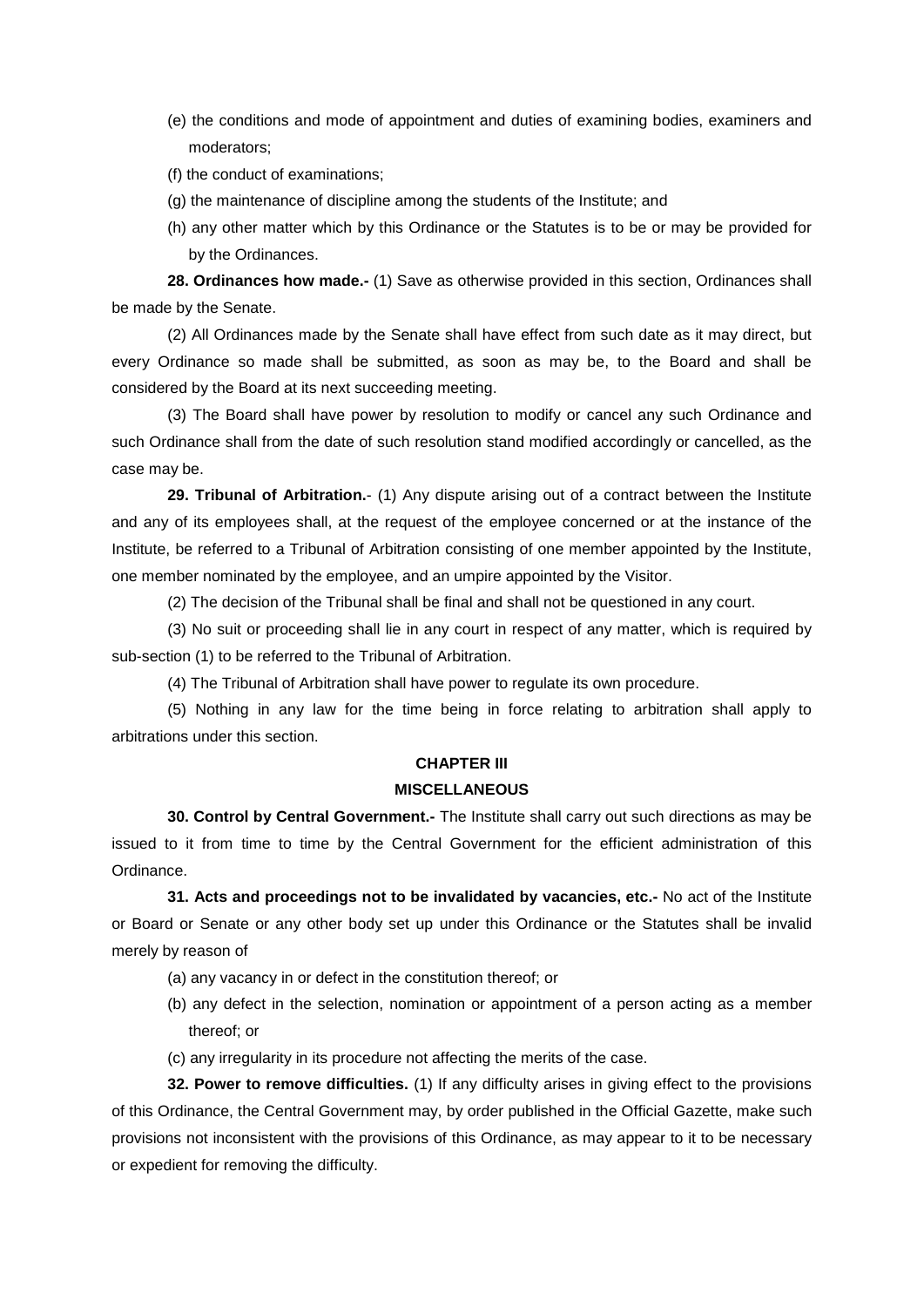- (e) the conditions and mode of appointment and duties of examining bodies, examiners and moderators;
- (f) the conduct of examinations;
- (g) the maintenance of discipline among the students of the Institute; and
- (h) any other matter which by this Ordinance or the Statutes is to be or may be provided for by the Ordinances.

**28. Ordinances how made.-** (1) Save as otherwise provided in this section, Ordinances shall be made by the Senate.

(2) All Ordinances made by the Senate shall have effect from such date as it may direct, but every Ordinance so made shall be submitted, as soon as may be, to the Board and shall be considered by the Board at its next succeeding meeting.

(3) The Board shall have power by resolution to modify or cancel any such Ordinance and such Ordinance shall from the date of such resolution stand modified accordingly or cancelled, as the case may be.

**29. Tribunal of Arbitration.**- (1) Any dispute arising out of a contract between the Institute and any of its employees shall, at the request of the employee concerned or at the instance of the Institute, be referred to a Tribunal of Arbitration consisting of one member appointed by the Institute, one member nominated by the employee, and an umpire appointed by the Visitor.

(2) The decision of the Tribunal shall be final and shall not be questioned in any court.

(3) No suit or proceeding shall lie in any court in respect of any matter, which is required by sub-section (1) to be referred to the Tribunal of Arbitration.

(4) The Tribunal of Arbitration shall have power to regulate its own procedure.

(5) Nothing in any law for the time being in force relating to arbitration shall apply to arbitrations under this section.

#### **CHAPTER III**

### **MISCELLANEOUS**

**30. Control by Central Government.-** The Institute shall carry out such directions as may be issued to it from time to time by the Central Government for the efficient administration of this Ordinance.

**31. Acts and proceedings not to be invalidated by vacancies, etc.-** No act of the Institute or Board or Senate or any other body set up under this Ordinance or the Statutes shall be invalid merely by reason of

- (a) any vacancy in or defect in the constitution thereof; or
- (b) any defect in the selection, nomination or appointment of a person acting as a member thereof; or
- (c) any irregularity in its procedure not affecting the merits of the case.

**32. Power to remove difficulties.** (1) If any difficulty arises in giving effect to the provisions of this Ordinance, the Central Government may, by order published in the Official Gazette, make such provisions not inconsistent with the provisions of this Ordinance, as may appear to it to be necessary or expedient for removing the difficulty.